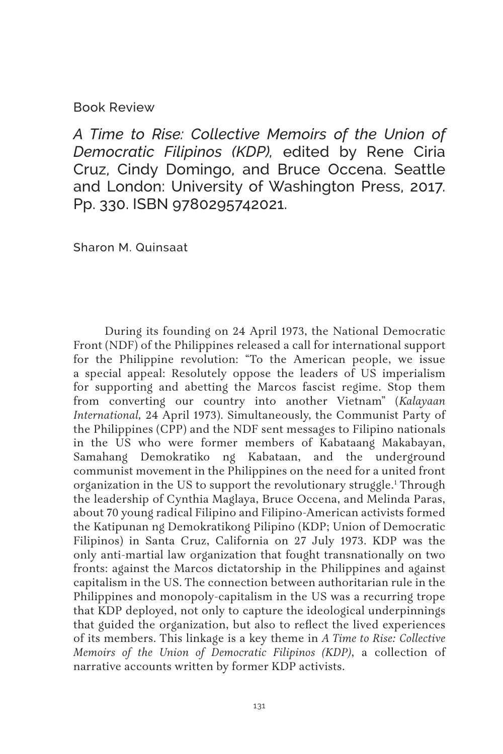Book Review

*A Time to Rise: Collective Memoirs of the Union of Democratic Filipinos (KDP),* edited by Rene Ciria Cruz, Cindy Domingo, and Bruce Occena. Seattle and London: University of Washington Press, 2017. Pp. 330. ISBN 9780295742021.

Sharon M. Quinsaat

During its founding on 24 April 1973, the National Democratic Front (NDF) of the Philippines released a call for international support for the Philippine revolution: "To the American people, we issue a special appeal: Resolutely oppose the leaders of US imperialism for supporting and abetting the Marcos fascist regime. Stop them from converting our country into another Vietnam" (*Kalayaan International,* 24 April 1973). Simultaneously, the Communist Party of the Philippines (CPP) and the NDF sent messages to Filipino nationals in the US who were former members of Kabataang Makabayan, Samahang Demokratiko ng Kabataan, and the underground communist movement in the Philippines on the need for a united front organization in the US to support the revolutionary struggle.1 Through the leadership of Cynthia Maglaya, Bruce Occena, and Melinda Paras, about 70 young radical Filipino and Filipino-American activists formed the Katipunan ng Demokratikong Pilipino (KDP; Union of Democratic Filipinos) in Santa Cruz, California on 27 July 1973. KDP was the only anti-martial law organization that fought transnationally on two fronts: against the Marcos dictatorship in the Philippines and against capitalism in the US. The connection between authoritarian rule in the Philippines and monopoly-capitalism in the US was a recurring trope that KDP deployed, not only to capture the ideological underpinnings that guided the organization, but also to reflect the lived experiences of its members. This linkage is a key theme in *A Time to Rise: Collective Memoirs of the Union of Democratic Filipinos (KDP)*, a collection of narrative accounts written by former KDP activists.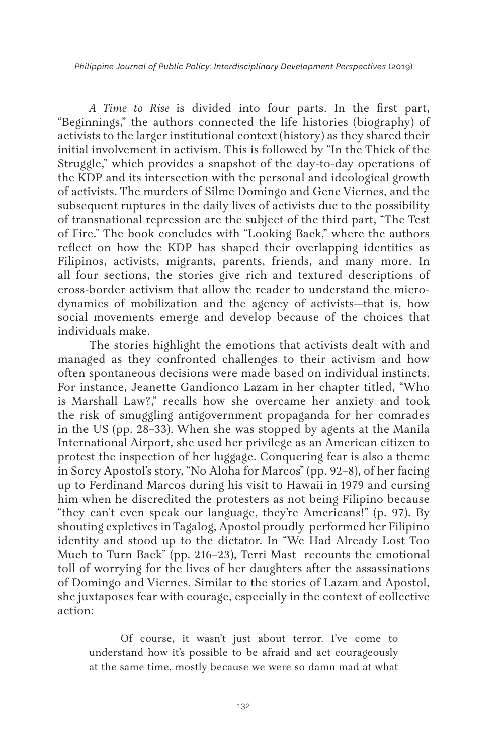*Philippine Journal of Public Policy: Interdisciplinary Development Perspectives* (2019)

*A Time to Rise* is divided into four parts. In the first part, "Beginnings," the authors connected the life histories (biography) of activists to the larger institutional context (history) as they shared their initial involvement in activism. This is followed by "In the Thick of the Struggle," which provides a snapshot of the day-to-day operations of the KDP and its intersection with the personal and ideological growth of activists. The murders of Silme Domingo and Gene Viernes, and the subsequent ruptures in the daily lives of activists due to the possibility of transnational repression are the subject of the third part, "The Test of Fire." The book concludes with "Looking Back," where the authors reflect on how the KDP has shaped their overlapping identities as Filipinos, activists, migrants, parents, friends, and many more. In all four sections, the stories give rich and textured descriptions of cross-border activism that allow the reader to understand the microdynamics of mobilization and the agency of activists—that is, how social movements emerge and develop because of the choices that individuals make.

The stories highlight the emotions that activists dealt with and managed as they confronted challenges to their activism and how often spontaneous decisions were made based on individual instincts. For instance, Jeanette Gandionco Lazam in her chapter titled, "Who is Marshall Law?," recalls how she overcame her anxiety and took the risk of smuggling antigovernment propaganda for her comrades in the US (pp. 28–33). When she was stopped by agents at the Manila International Airport, she used her privilege as an American citizen to protest the inspection of her luggage. Conquering fear is also a theme in Sorcy Apostol's story, "No Aloha for Marcos" (pp. 92–8), of her facing up to Ferdinand Marcos during his visit to Hawaii in 1979 and cursing him when he discredited the protesters as not being Filipino because "they can't even speak our language, they're Americans!" (p. 97). By shouting expletives in Tagalog, Apostol proudly performed her Filipino identity and stood up to the dictator. In "We Had Already Lost Too Much to Turn Back" (pp. 216–23), Terri Mast recounts the emotional toll of worrying for the lives of her daughters after the assassinations of Domingo and Viernes. Similar to the stories of Lazam and Apostol, she juxtaposes fear with courage, especially in the context of collective action:

Of course, it wasn't just about terror. I've come to understand how it's possible to be afraid and act courageously at the same time, mostly because we were so damn mad at what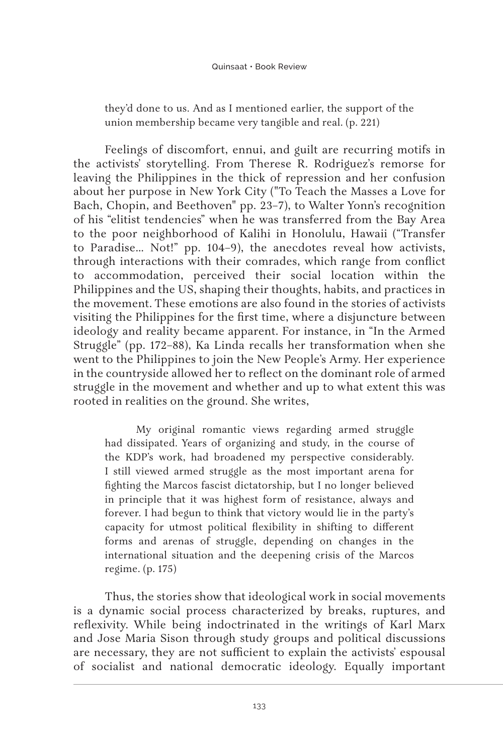they'd done to us. And as I mentioned earlier, the support of the union membership became very tangible and real. (p. 221)

Feelings of discomfort, ennui, and guilt are recurring motifs in the activists' storytelling. From Therese R. Rodriguez's remorse for leaving the Philippines in the thick of repression and her confusion about her purpose in New York City ("To Teach the Masses a Love for Bach, Chopin, and Beethoven" pp. 23–7), to Walter Yonn's recognition of his "elitist tendencies" when he was transferred from the Bay Area to the poor neighborhood of Kalihi in Honolulu, Hawaii ("Transfer to Paradise… Not!" pp. 104–9), the anecdotes reveal how activists, through interactions with their comrades, which range from conflict to accommodation, perceived their social location within the Philippines and the US, shaping their thoughts, habits, and practices in the movement. These emotions are also found in the stories of activists visiting the Philippines for the first time, where a disjuncture between ideology and reality became apparent. For instance, in "In the Armed Struggle" (pp. 172–88), Ka Linda recalls her transformation when she went to the Philippines to join the New People's Army. Her experience in the countryside allowed her to reflect on the dominant role of armed struggle in the movement and whether and up to what extent this was rooted in realities on the ground. She writes,

My original romantic views regarding armed struggle had dissipated. Years of organizing and study, in the course of the KDP's work, had broadened my perspective considerably. I still viewed armed struggle as the most important arena for fighting the Marcos fascist dictatorship, but I no longer believed in principle that it was highest form of resistance, always and forever. I had begun to think that victory would lie in the party's capacity for utmost political flexibility in shifting to different forms and arenas of struggle, depending on changes in the international situation and the deepening crisis of the Marcos regime. (p. 175)

Thus, the stories show that ideological work in social movements is a dynamic social process characterized by breaks, ruptures, and reflexivity. While being indoctrinated in the writings of Karl Marx and Jose Maria Sison through study groups and political discussions are necessary, they are not sufficient to explain the activists' espousal of socialist and national democratic ideology. Equally important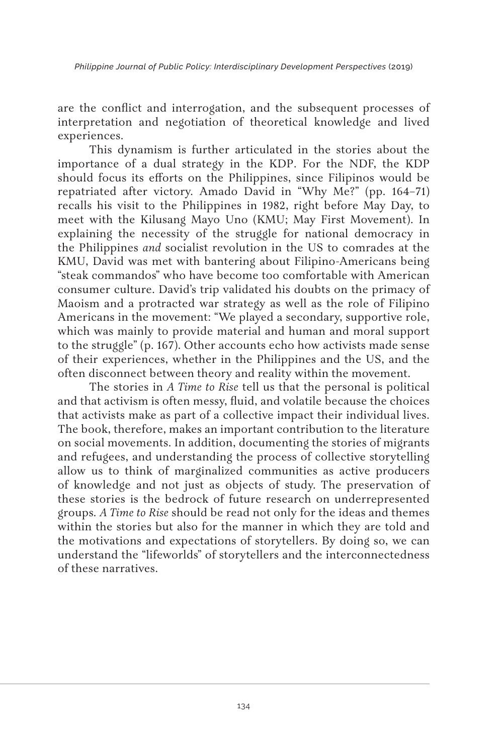*Philippine Journal of Public Policy: Interdisciplinary Development Perspectives* (2019)

are the conflict and interrogation, and the subsequent processes of interpretation and negotiation of theoretical knowledge and lived experiences.

This dynamism is further articulated in the stories about the importance of a dual strategy in the KDP. For the NDF, the KDP should focus its efforts on the Philippines, since Filipinos would be repatriated after victory. Amado David in "Why Me?" (pp. 164–71) recalls his visit to the Philippines in 1982, right before May Day, to meet with the Kilusang Mayo Uno (KMU; May First Movement). In explaining the necessity of the struggle for national democracy in the Philippines *and* socialist revolution in the US to comrades at the KMU, David was met with bantering about Filipino-Americans being "steak commandos" who have become too comfortable with American consumer culture. David's trip validated his doubts on the primacy of Maoism and a protracted war strategy as well as the role of Filipino Americans in the movement: "We played a secondary, supportive role, which was mainly to provide material and human and moral support to the struggle" (p. 167). Other accounts echo how activists made sense of their experiences, whether in the Philippines and the US, and the often disconnect between theory and reality within the movement.

The stories in *A Time to Rise* tell us that the personal is political and that activism is often messy, fluid, and volatile because the choices that activists make as part of a collective impact their individual lives. The book, therefore, makes an important contribution to the literature on social movements. In addition, documenting the stories of migrants and refugees, and understanding the process of collective storytelling allow us to think of marginalized communities as active producers of knowledge and not just as objects of study. The preservation of these stories is the bedrock of future research on underrepresented groups*. A Time to Rise* should be read not only for the ideas and themes within the stories but also for the manner in which they are told and the motivations and expectations of storytellers. By doing so, we can understand the "lifeworlds" of storytellers and the interconnectedness of these narratives.